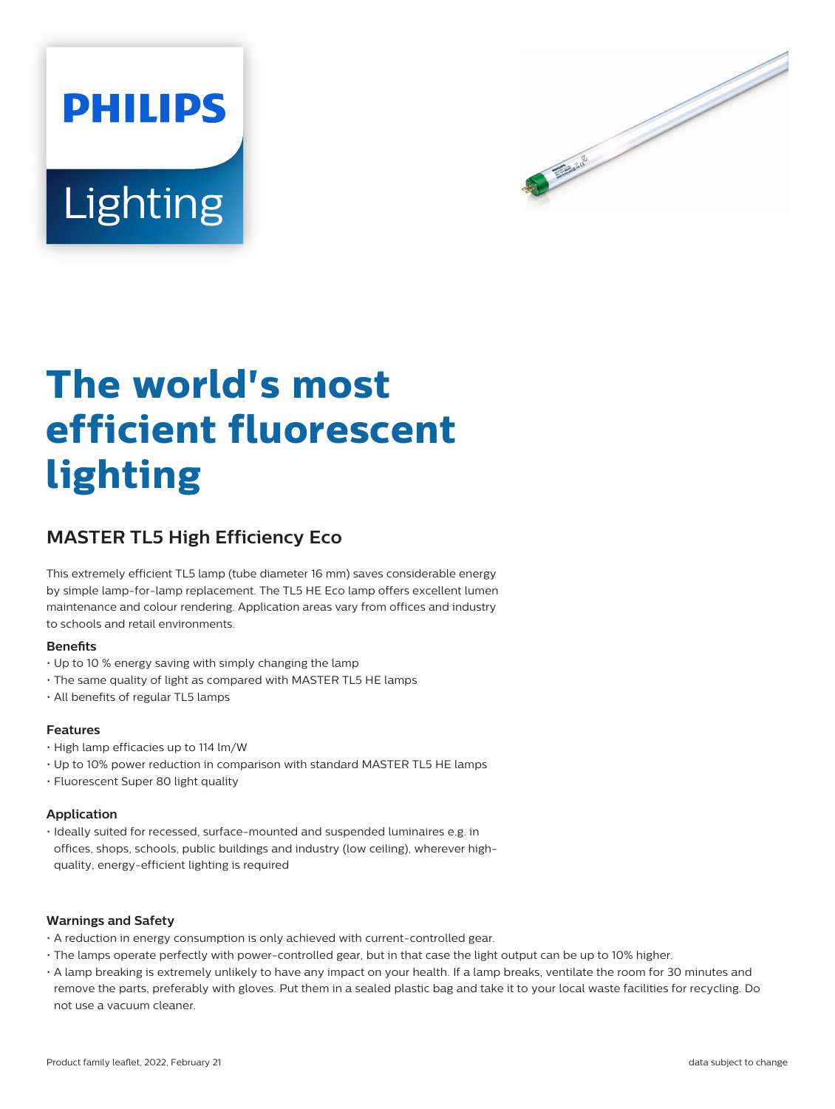



# **The world's most efficient fluorescent lighting**

## **MASTER TL5 High Efficiency Eco**

This extremely efficient TL5 lamp (tube diameter 16 mm) saves considerable energy by simple lamp-for-lamp replacement. The TL5 HE Eco lamp offers excellent lumen maintenance and colour rendering. Application areas vary from offices and industry to schools and retail environments.

#### **Benets**

- Up to 10 % energy saving with simply changing the lamp
- The same quality of light as compared with MASTER TL5 HE lamps
- All benefits of regular TL5 lamps

#### **Features**

- High lamp efficacies up to 114 lm/W
- Up to 10% power reduction in comparison with standard MASTER TL5 HE lamps
- Fluorescent Super 80 light quality

#### **Application**

• Ideally suited for recessed, surface-mounted and suspended luminaires e.g. in offices, shops, schools, public buildings and industry (low ceiling), wherever highquality, energy-efficient lighting is required

#### **Warnings and Safety**

- A reduction in energy consumption is only achieved with current-controlled gear.
- The lamps operate perfectly with power-controlled gear, but in that case the light output can be up to 10% higher.
- A lamp breaking is extremely unlikely to have any impact on your health. If a lamp breaks, ventilate the room for 30 minutes and remove the parts, preferably with gloves. Put them in a sealed plastic bag and take it to your local waste facilities for recycling. Do not use a vacuum cleaner.